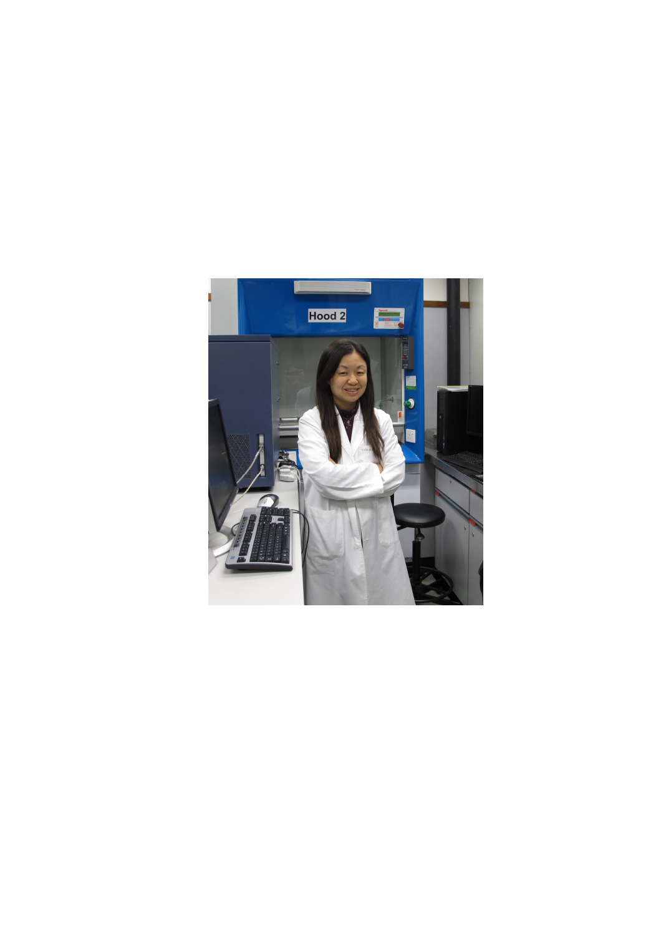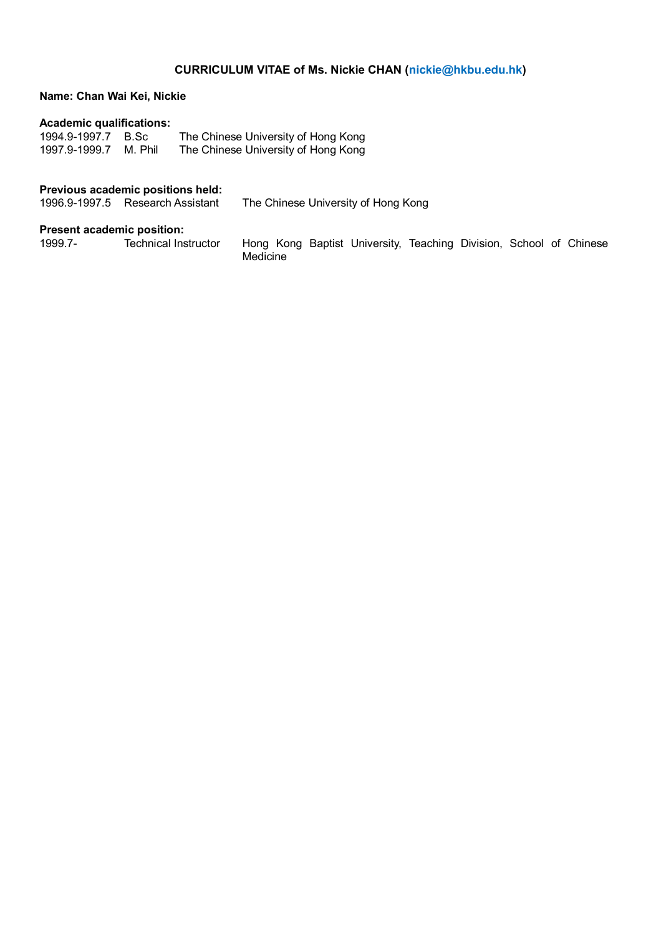## **CURRICULUM VITAE of Ms. Nickie CHAN (nickie@hkbu.edu.hk)**

### **Name: Chan Wai Kei, Nickie**

#### **Academic qualifications:**

| 1994.9-1997.7 | -B.Sc   | The Chinese University of Hong Kong |
|---------------|---------|-------------------------------------|
| 1997.9-1999.7 | M. Phil | The Chinese University of Hong Kong |

# **Previous academic positions held:**

The Chinese University of Hong Kong

### **Present academic position:**

1999.7- Technical Instructor Hong Kong Baptist University, Teaching Division, School of Chinese Medicine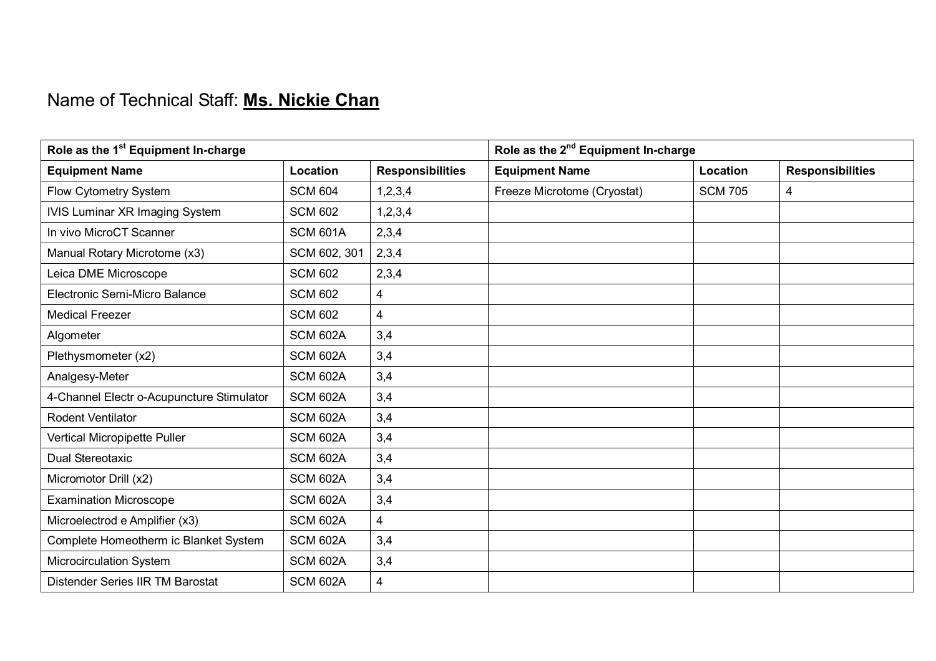## Name of Technical Staff: **Ms. Nickie Chan**

| Role as the 1 <sup>st</sup> Equipment In-charge |                 |                         | Role as the 2 <sup>nd</sup> Equipment In-charge |                |                         |
|-------------------------------------------------|-----------------|-------------------------|-------------------------------------------------|----------------|-------------------------|
| <b>Equipment Name</b>                           | Location        | <b>Responsibilities</b> | <b>Equipment Name</b>                           | Location       | <b>Responsibilities</b> |
| Flow Cytometry System                           | <b>SCM 604</b>  | 1,2,3,4                 | Freeze Microtome (Cryostat)                     | <b>SCM 705</b> | 4                       |
| <b>IVIS Luminar XR Imaging System</b>           | <b>SCM 602</b>  | 1,2,3,4                 |                                                 |                |                         |
| In vivo MicroCT Scanner                         | <b>SCM 601A</b> | 2,3,4                   |                                                 |                |                         |
| Manual Rotary Microtome (x3)                    | SCM 602, 301    | 2,3,4                   |                                                 |                |                         |
| Leica DME Microscope                            | <b>SCM 602</b>  | 2,3,4                   |                                                 |                |                         |
| Electronic Semi-Micro Balance                   | <b>SCM 602</b>  | 4                       |                                                 |                |                         |
| <b>Medical Freezer</b>                          | <b>SCM 602</b>  | $\overline{4}$          |                                                 |                |                         |
| Algometer                                       | <b>SCM 602A</b> | 3,4                     |                                                 |                |                         |
| Plethysmometer (x2)                             | <b>SCM 602A</b> | 3,4                     |                                                 |                |                         |
| Analgesy-Meter                                  | <b>SCM 602A</b> | 3,4                     |                                                 |                |                         |
| 4-Channel Electr o-Acupuncture Stimulator       | <b>SCM 602A</b> | 3,4                     |                                                 |                |                         |
| Rodent Ventilator                               | <b>SCM 602A</b> | 3,4                     |                                                 |                |                         |
| Vertical Micropipette Puller                    | <b>SCM 602A</b> | 3,4                     |                                                 |                |                         |
| Dual Stereotaxic                                | <b>SCM 602A</b> | 3,4                     |                                                 |                |                         |
| Micromotor Drill (x2)                           | <b>SCM 602A</b> | 3,4                     |                                                 |                |                         |
| <b>Examination Microscope</b>                   | <b>SCM 602A</b> | 3,4                     |                                                 |                |                         |
| Microelectrod e Amplifier (x3)                  | <b>SCM 602A</b> | $\overline{4}$          |                                                 |                |                         |
| Complete Homeotherm ic Blanket System           | <b>SCM 602A</b> | 3,4                     |                                                 |                |                         |
| Microcirculation System                         | <b>SCM 602A</b> | 3,4                     |                                                 |                |                         |
| Distender Series IIR TM Barostat                | <b>SCM 602A</b> | $\overline{4}$          |                                                 |                |                         |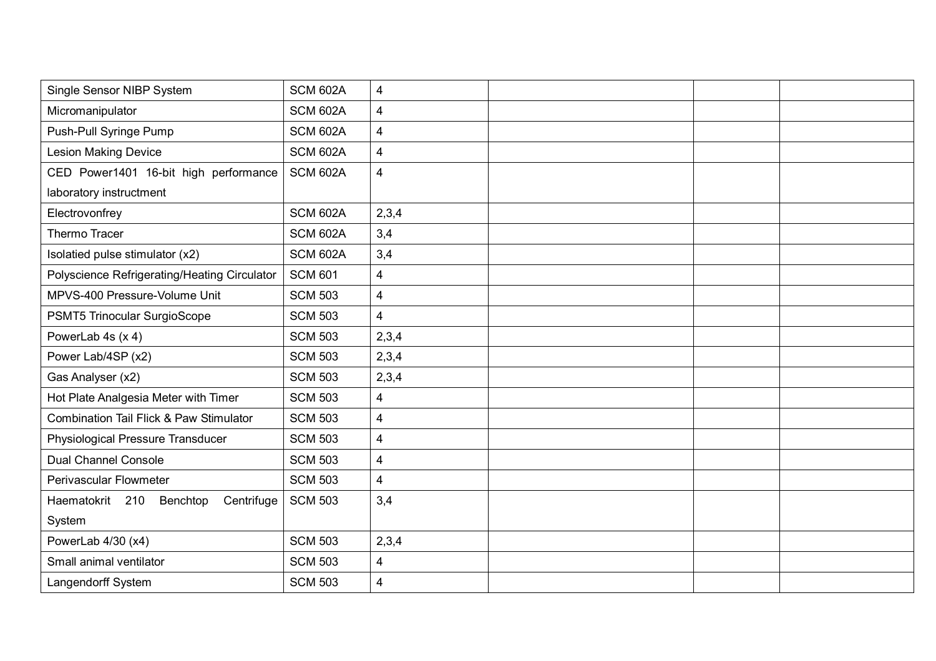| Single Sensor NIBP System                          | <b>SCM 602A</b> | $\overline{\mathbf{4}}$ |  |  |
|----------------------------------------------------|-----------------|-------------------------|--|--|
| Micromanipulator                                   | <b>SCM 602A</b> | $\overline{4}$          |  |  |
| Push-Pull Syringe Pump                             | <b>SCM 602A</b> | $\overline{4}$          |  |  |
| <b>Lesion Making Device</b>                        | <b>SCM 602A</b> | $\overline{\mathbf{4}}$ |  |  |
| CED Power1401 16-bit high performance              | <b>SCM 602A</b> | $\overline{4}$          |  |  |
| laboratory instructment                            |                 |                         |  |  |
| Electrovonfrey                                     | <b>SCM 602A</b> | 2,3,4                   |  |  |
| Thermo Tracer                                      | <b>SCM 602A</b> | 3,4                     |  |  |
| Isolatied pulse stimulator (x2)                    | <b>SCM 602A</b> | 3,4                     |  |  |
| Polyscience Refrigerating/Heating Circulator       | <b>SCM 601</b>  | $\overline{\mathbf{4}}$ |  |  |
| MPVS-400 Pressure-Volume Unit                      | <b>SCM 503</b>  | $\overline{\mathbf{4}}$ |  |  |
| PSMT5 Trinocular SurgioScope                       | <b>SCM 503</b>  | $\overline{\mathbf{4}}$ |  |  |
| PowerLab 4s (x 4)                                  | <b>SCM 503</b>  | 2,3,4                   |  |  |
| Power Lab/4SP (x2)                                 | <b>SCM 503</b>  | 2,3,4                   |  |  |
| Gas Analyser (x2)                                  | <b>SCM 503</b>  | 2,3,4                   |  |  |
| Hot Plate Analgesia Meter with Timer               | <b>SCM 503</b>  | $\overline{\mathbf{4}}$ |  |  |
| <b>Combination Tail Flick &amp; Paw Stimulator</b> | <b>SCM 503</b>  | $\overline{\mathbf{4}}$ |  |  |
| Physiological Pressure Transducer                  | <b>SCM 503</b>  | $\overline{\mathbf{4}}$ |  |  |
| <b>Dual Channel Console</b>                        | <b>SCM 503</b>  | $\overline{\mathbf{4}}$ |  |  |
| Perivascular Flowmeter                             | <b>SCM 503</b>  | $\overline{\mathbf{4}}$ |  |  |
| Haematokrit 210 Benchtop<br>Centrifuge             | <b>SCM 503</b>  | 3,4                     |  |  |
| System                                             |                 |                         |  |  |
| PowerLab 4/30 (x4)                                 | <b>SCM 503</b>  | 2,3,4                   |  |  |
| Small animal ventilator                            | <b>SCM 503</b>  | $\overline{\mathbf{4}}$ |  |  |
| Langendorff System                                 | <b>SCM 503</b>  | $\overline{\mathbf{4}}$ |  |  |